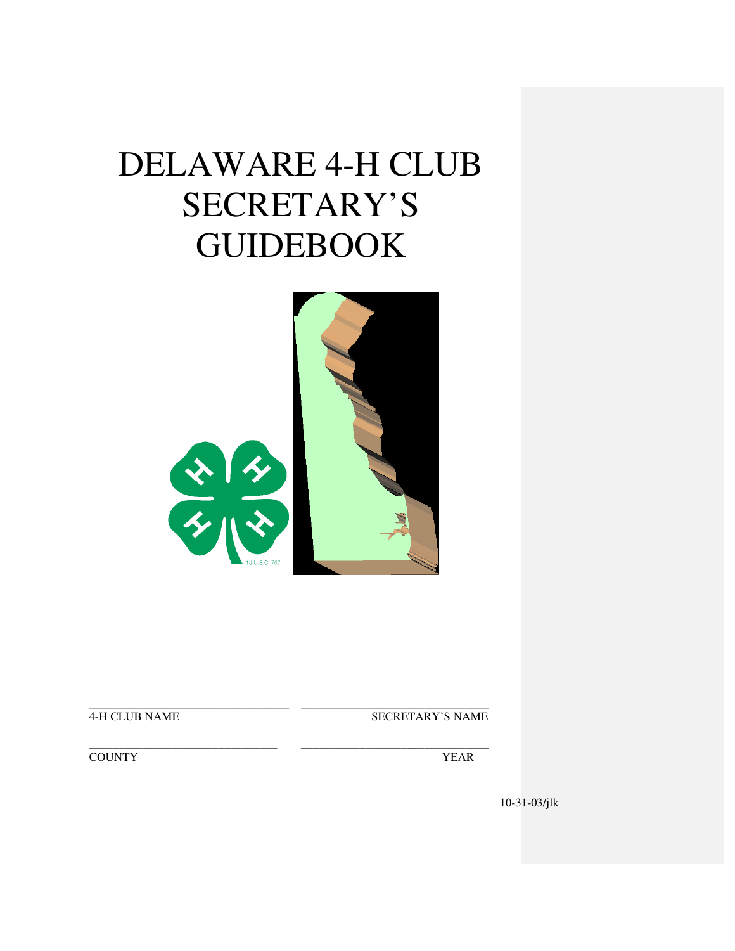# DELAWARE 4-H CLUB SECRETARY'S GUIDEBOOK



\_\_\_\_\_\_\_\_\_\_\_\_\_\_\_\_\_\_\_\_\_\_\_\_\_\_\_\_\_\_\_\_\_\_ \_\_\_\_\_\_\_\_\_\_\_\_\_\_\_\_\_\_\_\_\_\_\_\_\_\_\_\_\_\_\_\_

4-H CLUB NAME SECRETARY'S NAME

\_\_\_\_\_\_\_\_\_\_\_\_\_\_\_\_\_\_\_\_\_\_\_\_\_\_\_\_\_\_\_\_ \_\_\_\_\_\_\_\_\_\_\_\_\_\_\_\_\_\_\_\_\_\_\_\_\_\_\_\_\_\_\_\_ THE COUNTY TEAR TELEVISION OF THE SERVICE OF THE SERVICE OF THE SERVICE OF THE SERVICE OF THE SERVICE OF THE SERVICE OF THE SERVICE OF THE SERVICE OF THE SERVICE OF THE SERVICE OF THE SERVICE OF THE SERVICE OF THE SERVICE

10-31-03/jlk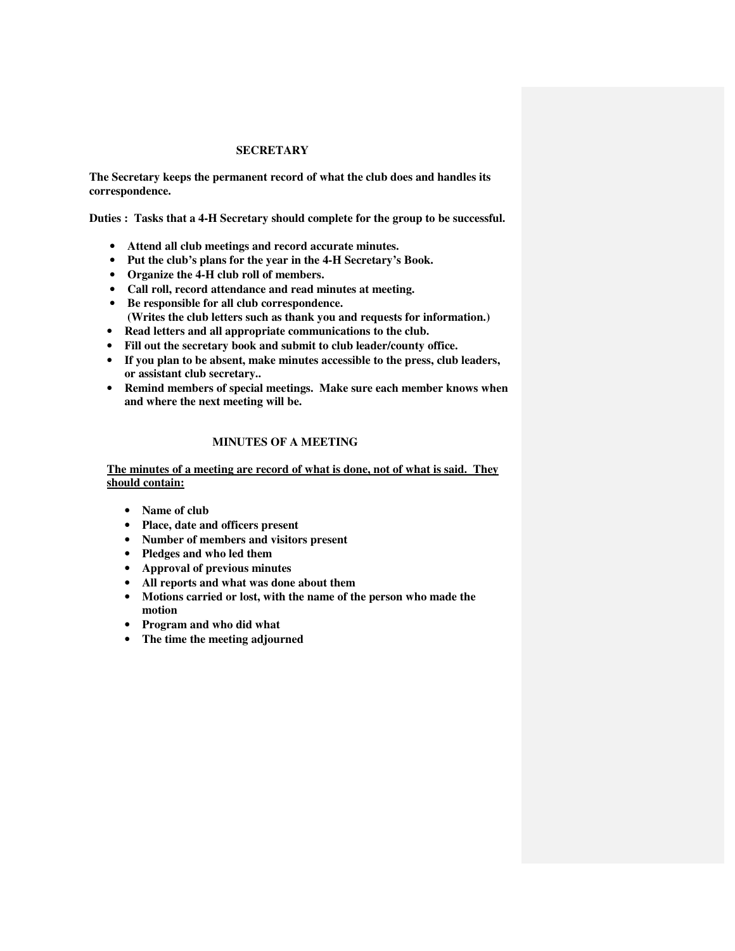#### **SECRETARY**

**The Secretary keeps the permanent record of what the club does and handles its correspondence.** 

**Duties : Tasks that a 4-H Secretary should complete for the group to be successful.** 

- **Attend all club meetings and record accurate minutes.**
- **Put the club's plans for the year in the 4-H Secretary's Book.**
- **Organize the 4-H club roll of members.**
- **Call roll, record attendance and read minutes at meeting.**
- **Be responsible for all club correspondence. (Writes the club letters such as thank you and requests for information.)**
- **Read letters and all appropriate communications to the club.**
- **Fill out the secretary book and submit to club leader/county office.**
- **If you plan to be absent, make minutes accessible to the press, club leaders, or assistant club secretary..**
- **Remind members of special meetings. Make sure each member knows when and where the next meeting will be.**

### **MINUTES OF A MEETING**

**The minutes of a meeting are record of what is done, not of what is said. They should contain:**

- **Name of club**
- **Place, date and officers present**
- **Number of members and visitors present**
- **Pledges and who led them**
- **Approval of previous minutes**
- **All reports and what was done about them**
- **Motions carried or lost, with the name of the person who made the motion**
- **Program and who did what**
- **The time the meeting adjourned**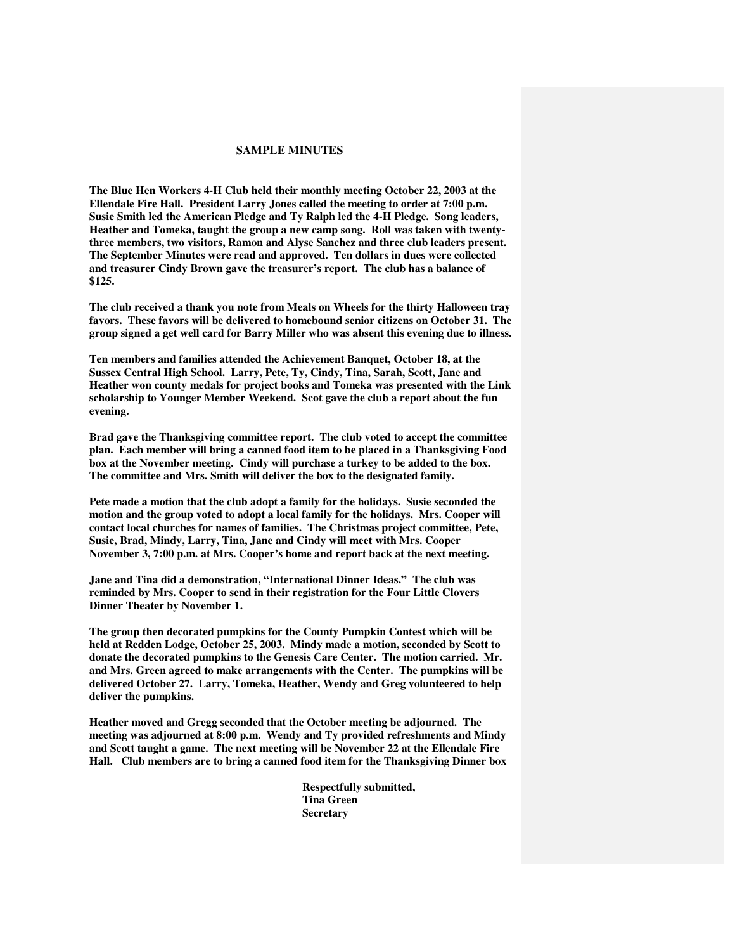#### **SAMPLE MINUTES**

**The Blue Hen Workers 4-H Club held their monthly meeting October 22, 2003 at the Ellendale Fire Hall. President Larry Jones called the meeting to order at 7:00 p.m. Susie Smith led the American Pledge and Ty Ralph led the 4-H Pledge. Song leaders, Heather and Tomeka, taught the group a new camp song. Roll was taken with twentythree members, two visitors, Ramon and Alyse Sanchez and three club leaders present. The September Minutes were read and approved. Ten dollars in dues were collected and treasurer Cindy Brown gave the treasurer's report. The club has a balance of \$125.** 

**The club received a thank you note from Meals on Wheels for the thirty Halloween tray favors. These favors will be delivered to homebound senior citizens on October 31. The group signed a get well card for Barry Miller who was absent this evening due to illness.** 

**Ten members and families attended the Achievement Banquet, October 18, at the Sussex Central High School. Larry, Pete, Ty, Cindy, Tina, Sarah, Scott, Jane and Heather won county medals for project books and Tomeka was presented with the Link scholarship to Younger Member Weekend. Scot gave the club a report about the fun evening.** 

**Brad gave the Thanksgiving committee report. The club voted to accept the committee plan. Each member will bring a canned food item to be placed in a Thanksgiving Food box at the November meeting. Cindy will purchase a turkey to be added to the box. The committee and Mrs. Smith will deliver the box to the designated family.** 

**Pete made a motion that the club adopt a family for the holidays. Susie seconded the motion and the group voted to adopt a local family for the holidays. Mrs. Cooper will contact local churches for names of families. The Christmas project committee, Pete, Susie, Brad, Mindy, Larry, Tina, Jane and Cindy will meet with Mrs. Cooper November 3, 7:00 p.m. at Mrs. Cooper's home and report back at the next meeting.** 

**Jane and Tina did a demonstration, "International Dinner Ideas." The club was reminded by Mrs. Cooper to send in their registration for the Four Little Clovers Dinner Theater by November 1.** 

**The group then decorated pumpkins for the County Pumpkin Contest which will be held at Redden Lodge, October 25, 2003. Mindy made a motion, seconded by Scott to donate the decorated pumpkins to the Genesis Care Center. The motion carried. Mr. and Mrs. Green agreed to make arrangements with the Center. The pumpkins will be delivered October 27. Larry, Tomeka, Heather, Wendy and Greg volunteered to help deliver the pumpkins.** 

**Heather moved and Gregg seconded that the October meeting be adjourned. The meeting was adjourned at 8:00 p.m. Wendy and Ty provided refreshments and Mindy and Scott taught a game. The next meeting will be November 22 at the Ellendale Fire Hall. Club members are to bring a canned food item for the Thanksgiving Dinner box** 

> **Respectfully submitted, Tina Green Secretary**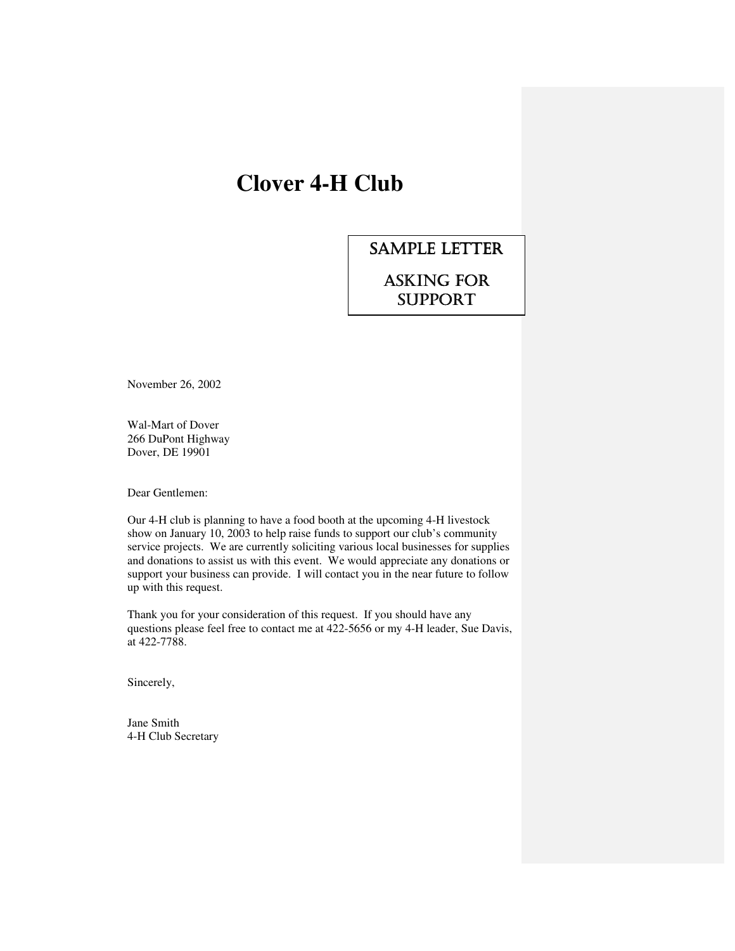# **Clover 4-H Club**

### SAMPLE LETTER

### ASKING FOR **SUPPORT**

November 26, 2002

Wal-Mart of Dover 266 DuPont Highway Dover, DE 19901

Dear Gentlemen:

Our 4-H club is planning to have a food booth at the upcoming 4-H livestock show on January 10, 2003 to help raise funds to support our club's community service projects. We are currently soliciting various local businesses for supplies and donations to assist us with this event. We would appreciate any donations or support your business can provide. I will contact you in the near future to follow up with this request.

Thank you for your consideration of this request. If you should have any questions please feel free to contact me at 422-5656 or my 4-H leader, Sue Davis, at 422-7788.

Sincerely,

Jane Smith 4-H Club Secretary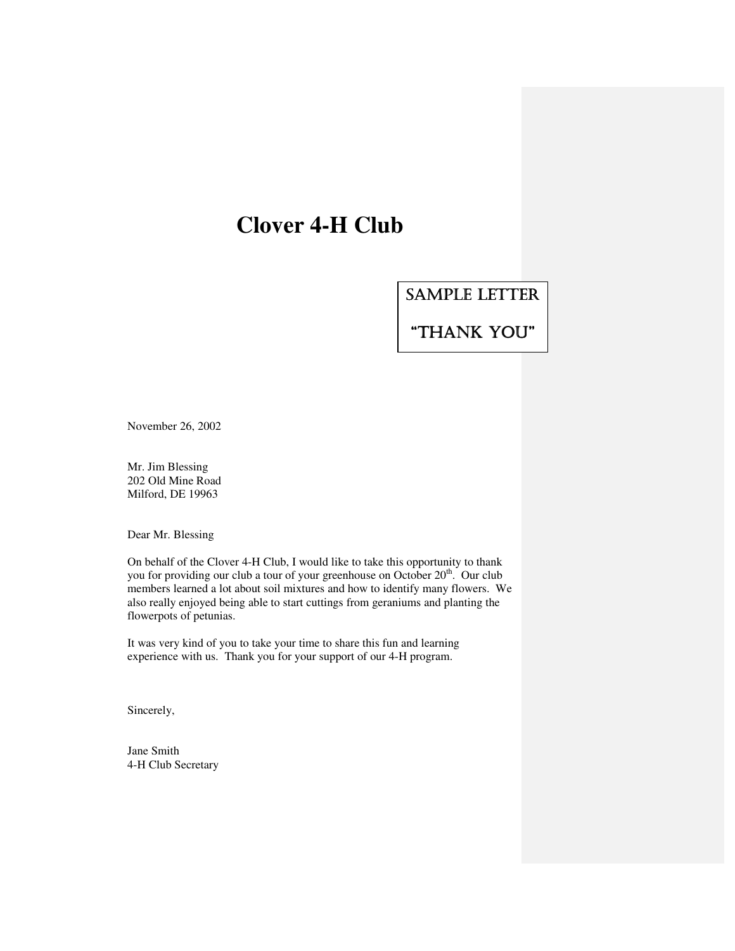## **Clover 4-H Club**

SAMPLE LETTER

"THANK YOU"

November 26, 2002

Mr. Jim Blessing 202 Old Mine Road Milford, DE 19963

Dear Mr. Blessing

On behalf of the Clover 4-H Club, I would like to take this opportunity to thank you for providing our club a tour of your greenhouse on October  $20<sup>th</sup>$ . Our club members learned a lot about soil mixtures and how to identify many flowers. We also really enjoyed being able to start cuttings from geraniums and planting the flowerpots of petunias.

It was very kind of you to take your time to share this fun and learning experience with us. Thank you for your support of our 4-H program.

Sincerely,

Jane Smith 4-H Club Secretary